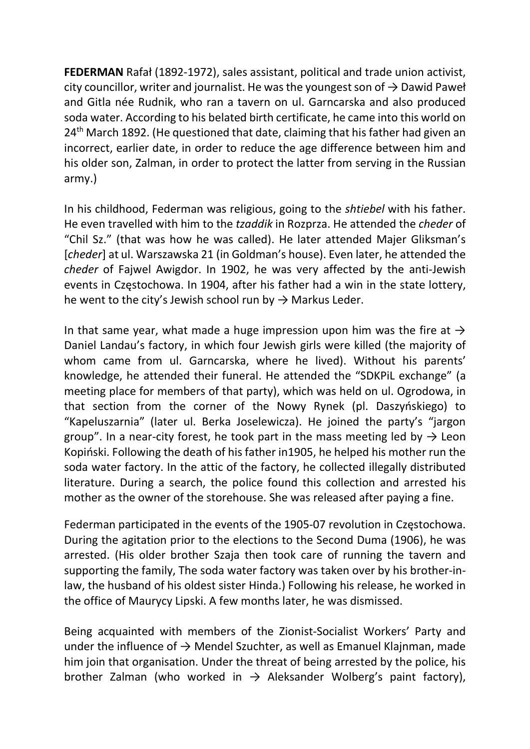FEDERMAN Rafał (1892-1972), sales assistant, political and trade union activist, city councillor, writer and journalist. He was the youngest son of  $\rightarrow$  Dawid Paweł and Gitla née Rudnik, who ran a tavern on ul. Garncarska and also produced soda water. According to his belated birth certificate, he came into this world on 24<sup>th</sup> March 1892. (He questioned that date, claiming that his father had given an incorrect, earlier date, in order to reduce the age difference between him and his older son, Zalman, in order to protect the latter from serving in the Russian army.)

In his childhood, Federman was religious, going to the shtiebel with his father. He even travelled with him to the tzaddik in Rozprza. He attended the cheder of "Chil Sz." (that was how he was called). He later attended Majer Gliksman's [cheder] at ul. Warszawska 21 (in Goldman's house). Even later, he attended the cheder of Fajwel Awigdor. In 1902, he was very affected by the anti-Jewish events in Częstochowa. In 1904, after his father had a win in the state lottery, he went to the city's Jewish school run by  $\rightarrow$  Markus Leder.

In that same year, what made a huge impression upon him was the fire at  $\rightarrow$ Daniel Landau's factory, in which four Jewish girls were killed (the majority of whom came from ul. Garncarska, where he lived). Without his parents' knowledge, he attended their funeral. He attended the "SDKPiL exchange" (a meeting place for members of that party), which was held on ul. Ogrodowa, in that section from the corner of the Nowy Rynek (pl. Daszyńskiego) to "Kapeluszarnia" (later ul. Berka Joselewicza). He joined the party's "jargon group". In a near-city forest, he took part in the mass meeting led by  $\rightarrow$  Leon Kopiński. Following the death of his father in1905, he helped his mother run the soda water factory. In the attic of the factory, he collected illegally distributed literature. During a search, the police found this collection and arrested his mother as the owner of the storehouse. She was released after paying a fine.

Federman participated in the events of the 1905-07 revolution in Częstochowa. During the agitation prior to the elections to the Second Duma (1906), he was arrested. (His older brother Szaja then took care of running the tavern and supporting the family, The soda water factory was taken over by his brother-inlaw, the husband of his oldest sister Hinda.) Following his release, he worked in the office of Maurycy Lipski. A few months later, he was dismissed.

Being acquainted with members of the Zionist-Socialist Workers' Party and under the influence of  $\rightarrow$  Mendel Szuchter, as well as Emanuel Klajnman, made him join that organisation. Under the threat of being arrested by the police, his brother Zalman (who worked in  $\rightarrow$  Aleksander Wolberg's paint factory),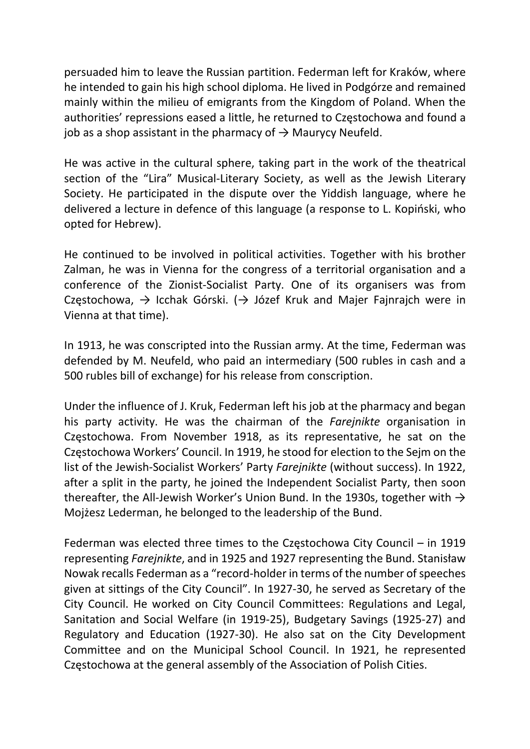persuaded him to leave the Russian partition. Federman left for Kraków, where he intended to gain his high school diploma. He lived in Podgórze and remained mainly within the milieu of emigrants from the Kingdom of Poland. When the authorities' repressions eased a little, he returned to Częstochowa and found a job as a shop assistant in the pharmacy of  $\rightarrow$  Maurycy Neufeld.

He was active in the cultural sphere, taking part in the work of the theatrical section of the "Lira" Musical-Literary Society, as well as the Jewish Literary Society. He participated in the dispute over the Yiddish language, where he delivered a lecture in defence of this language (a response to L. Kopiński, who opted for Hebrew).

He continued to be involved in political activities. Together with his brother Zalman, he was in Vienna for the congress of a territorial organisation and a conference of the Zionist-Socialist Party. One of its organisers was from Częstochowa,  $\rightarrow$  Icchak Górski. ( $\rightarrow$  Józef Kruk and Majer Fajnrajch were in Vienna at that time).

In 1913, he was conscripted into the Russian army. At the time, Federman was defended by M. Neufeld, who paid an intermediary (500 rubles in cash and a 500 rubles bill of exchange) for his release from conscription.

Under the influence of J. Kruk, Federman left his job at the pharmacy and began his party activity. He was the chairman of the Farejnikte organisation in Częstochowa. From November 1918, as its representative, he sat on the Częstochowa Workers' Council. In 1919, he stood for election to the Sejm on the list of the Jewish-Socialist Workers' Party Farejnikte (without success). In 1922, after a split in the party, he joined the Independent Socialist Party, then soon thereafter, the All-Jewish Worker's Union Bund. In the 1930s, together with  $\rightarrow$ Mojżesz Lederman, he belonged to the leadership of the Bund.

Federman was elected three times to the Częstochowa City Council – in 1919 representing Farejnikte, and in 1925 and 1927 representing the Bund. Stanisław Nowak recalls Federman as a "record-holder in terms of the number of speeches given at sittings of the City Council". In 1927-30, he served as Secretary of the City Council. He worked on City Council Committees: Regulations and Legal, Sanitation and Social Welfare (in 1919-25), Budgetary Savings (1925-27) and Regulatory and Education (1927-30). He also sat on the City Development Committee and on the Municipal School Council. In 1921, he represented Częstochowa at the general assembly of the Association of Polish Cities.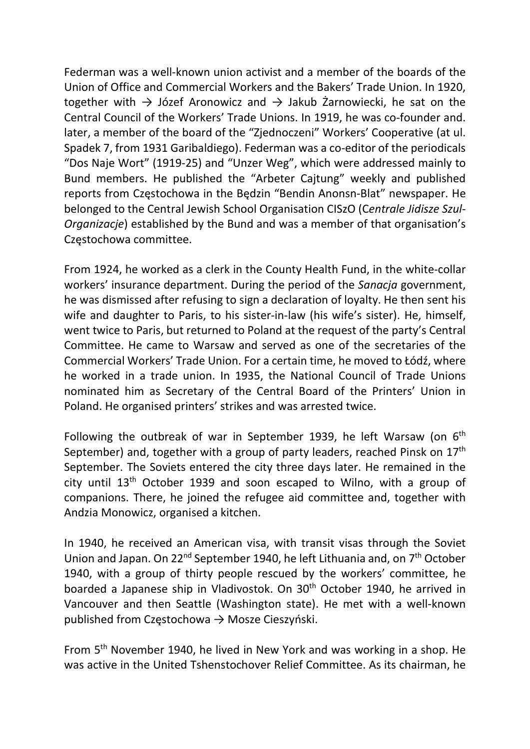Federman was a well-known union activist and a member of the boards of the Union of Office and Commercial Workers and the Bakers' Trade Union. In 1920, together with  $\rightarrow$  Józef Aronowicz and  $\rightarrow$  Jakub Żarnowiecki, he sat on the Central Council of the Workers' Trade Unions. In 1919, he was co-founder and. later, a member of the board of the "Zjednoczeni" Workers' Cooperative (at ul. Spadek 7, from 1931 Garibaldiego). Federman was a co-editor of the periodicals "Dos Naje Wort" (1919-25) and "Unzer Weg", which were addressed mainly to Bund members. He published the "Arbeter Cajtung" weekly and published reports from Częstochowa in the Będzin "Bendin Anonsn-Blat" newspaper. He belonged to the Central Jewish School Organisation CISzO (Centrale Jidisze Szul-Organizacje) established by the Bund and was a member of that organisation's Częstochowa committee.

From 1924, he worked as a clerk in the County Health Fund, in the white-collar workers' insurance department. During the period of the Sanacja government, he was dismissed after refusing to sign a declaration of loyalty. He then sent his wife and daughter to Paris, to his sister-in-law (his wife's sister). He, himself, went twice to Paris, but returned to Poland at the request of the party's Central Committee. He came to Warsaw and served as one of the secretaries of the Commercial Workers' Trade Union. For a certain time, he moved to Łódź, where he worked in a trade union. In 1935, the National Council of Trade Unions nominated him as Secretary of the Central Board of the Printers' Union in Poland. He organised printers' strikes and was arrested twice.

Following the outbreak of war in September 1939, he left Warsaw (on  $6<sup>th</sup>$ September) and, together with a group of party leaders, reached Pinsk on 17<sup>th</sup> September. The Soviets entered the city three days later. He remained in the city until  $13<sup>th</sup>$  October 1939 and soon escaped to Wilno, with a group of companions. There, he joined the refugee aid committee and, together with Andzia Monowicz, organised a kitchen.

In 1940, he received an American visa, with transit visas through the Soviet Union and Japan. On 22<sup>nd</sup> September 1940, he left Lithuania and, on 7<sup>th</sup> October 1940, with a group of thirty people rescued by the workers' committee, he boarded a Japanese ship in Vladivostok. On 30<sup>th</sup> October 1940, he arrived in Vancouver and then Seattle (Washington state). He met with a well-known published from Częstochowa → Mosze Cieszyński.

From 5th November 1940, he lived in New York and was working in a shop. He was active in the United Tshenstochover Relief Committee. As its chairman, he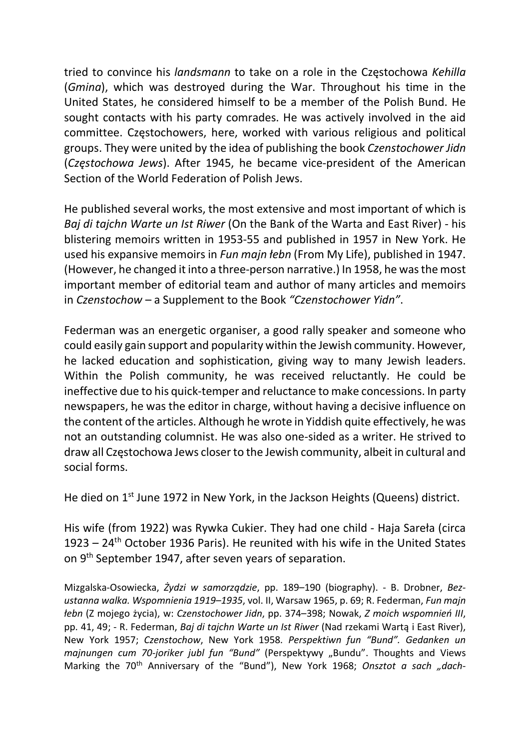tried to convince his landsmann to take on a role in the Częstochowa Kehilla (Gmina), which was destroyed during the War. Throughout his time in the United States, he considered himself to be a member of the Polish Bund. He sought contacts with his party comrades. He was actively involved in the aid committee. Częstochowers, here, worked with various religious and political groups. They were united by the idea of publishing the book Czenstochower Jidn (Częstochowa Jews). After 1945, he became vice-president of the American Section of the World Federation of Polish Jews.

He published several works, the most extensive and most important of which is Baj di tajchn Warte un Ist Riwer (On the Bank of the Warta and East River) - his blistering memoirs written in 1953-55 and published in 1957 in New York. He used his expansive memoirs in Fun majn łebn (From My Life), published in 1947. (However, he changed it into a three-person narrative.) In 1958, he was the most important member of editorial team and author of many articles and memoirs in Czenstochow – a Supplement to the Book "Czenstochower Yidn".

Federman was an energetic organiser, a good rally speaker and someone who could easily gain support and popularity within the Jewish community. However, he lacked education and sophistication, giving way to many Jewish leaders. Within the Polish community, he was received reluctantly. He could be ineffective due to his quick-temper and reluctance to make concessions. In party newspapers, he was the editor in charge, without having a decisive influence on the content of the articles. Although he wrote in Yiddish quite effectively, he was not an outstanding columnist. He was also one-sided as a writer. He strived to draw all Częstochowa Jews closer to the Jewish community, albeit in cultural and social forms.

He died on 1st June 1972 in New York, in the Jackson Heights (Queens) district.

His wife (from 1922) was Rywka Cukier. They had one child - Haja Sareła (circa 1923 – 24th October 1936 Paris). He reunited with his wife in the United States on 9th September 1947, after seven years of separation.

Mizgalska-Osowiecka, Żydzi w samorządzie, pp. 189–190 (biography). - B. Drobner, Bezustanna walka. Wspomnienia 1919–1935, vol. II, Warsaw 1965, p. 69; R. Federman, Fun majn łebn (Z mojego życia), w: Czenstochower Jidn, pp. 374–398; Nowak, Z moich wspomnień III, pp. 41, 49; - R. Federman, Baj di tajchn Warte un Ist Riwer (Nad rzekami Wartą i East River), New York 1957; Czenstochow, New York 1958. Perspektiwn fun "Bund". Gedanken un majnungen cum 70-joriker jubl fun "Bund" (Perspektywy "Bundu". Thoughts and Views Marking the 70<sup>th</sup> Anniversary of the "Bund"), New York 1968; Onsztot a sach "dach-